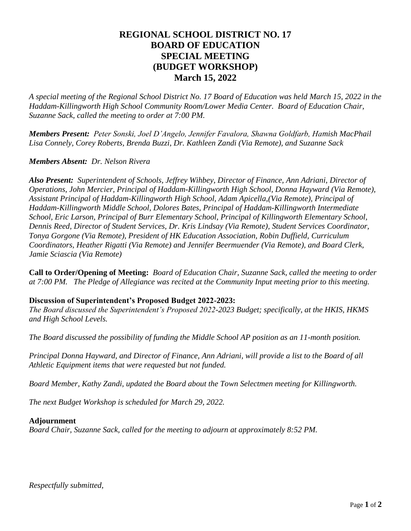## **REGIONAL SCHOOL DISTRICT NO. 17 BOARD OF EDUCATION SPECIAL MEETING (BUDGET WORKSHOP) March 15, 2022**

*A special meeting of the Regional School District No. 17 Board of Education was held March 15, 2022 in the Haddam-Killingworth High School Community Room/Lower Media Center. Board of Education Chair, Suzanne Sack, called the meeting to order at 7:00 PM.*

*Members Present: Peter Sonski, Joel D'Angelo, Jennifer Favalora, Shawna Goldfarb, Hamish MacPhail Lisa Connely, Corey Roberts, Brenda Buzzi, Dr. Kathleen Zandi (Via Remote), and Suzanne Sack*

## *Members Absent: Dr. Nelson Rivera*

*Also Present: Superintendent of Schools, Jeffrey Wihbey, Director of Finance, Ann Adriani, Director of Operations, John Mercier, Principal of Haddam-Killingworth High School, Donna Hayward (Via Remote), Assistant Principal of Haddam-Killingworth High School, Adam Apicella,(Via Remote), Principal of Haddam-Killingworth Middle School, Dolores Bates, Principal of Haddam-Killingworth Intermediate School, Eric Larson, Principal of Burr Elementary School, Principal of Killingworth Elementary School, Dennis Reed, Director of Student Services, Dr. Kris Lindsay (Via Remote), Student Services Coordinator, Tonya Gorgone (Via Remote), President of HK Education Association, Robin Duffield, Curriculum Coordinators, Heather Rigatti (Via Remote) and Jennifer Beermuender (Via Remote), and Board Clerk, Jamie Sciascia (Via Remote)*

**Call to Order/Opening of Meeting:** *Board of Education Chair, Suzanne Sack, called the meeting to order at 7:00 PM. The Pledge of Allegiance was recited at the Community Input meeting prior to this meeting.*

## **Discussion of Superintendent's Proposed Budget 2022-2023:**

*The Board discussed the Superintendent's Proposed 2022-2023 Budget; specifically, at the HKIS, HKMS and High School Levels.* 

*The Board discussed the possibility of funding the Middle School AP position as an 11-month position.*

*Principal Donna Hayward, and Director of Finance, Ann Adriani, will provide a list to the Board of all Athletic Equipment items that were requested but not funded.*

*Board Member, Kathy Zandi, updated the Board about the Town Selectmen meeting for Killingworth.*

*The next Budget Workshop is scheduled for March 29, 2022.*

## **Adjournment**

*Board Chair, Suzanne Sack, called for the meeting to adjourn at approximately 8:52 PM.*